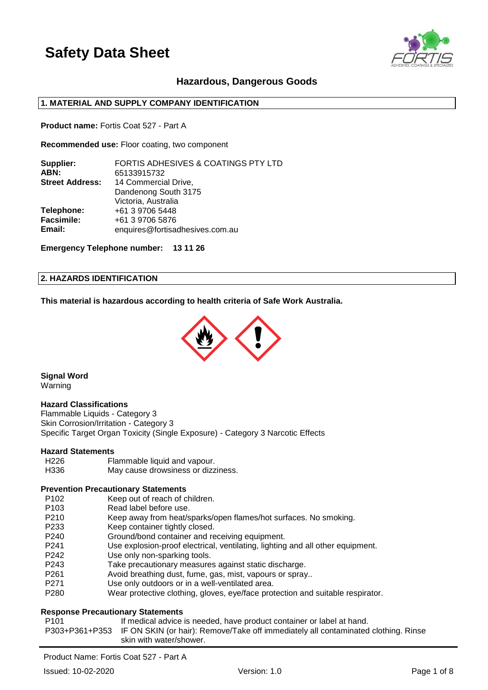

## **Hazardous, Dangerous Goods**

## **1. MATERIAL AND SUPPLY COMPANY IDENTIFICATION**

**Product name:** Fortis Coat 527 - Part A

**Recommended use:** Floor coating, two component

| Supplier:              | <b>FORTIS ADHESIVES &amp; COATINGS PTY LTD</b> |
|------------------------|------------------------------------------------|
| ABN:                   | 65133915732                                    |
| <b>Street Address:</b> | 14 Commercial Drive,                           |
|                        | Dandenong South 3175                           |
|                        | Victoria, Australia                            |
| Telephone:             | +61 3 9706 5448                                |
| <b>Facsimile:</b>      | +61 3 9706 5876                                |
| Email:                 | enquires@fortisadhesives.com.au                |
|                        |                                                |

**Emergency Telephone number: 13 11 26**

#### **2. HAZARDS IDENTIFICATION**

**This material is hazardous according to health criteria of Safe Work Australia.**



**Signal Word** Warning

#### **Hazard Classifications**

Flammable Liquids - Category 3 Skin Corrosion/Irritation - Category 3 Specific Target Organ Toxicity (Single Exposure) - Category 3 Narcotic Effects

### **Hazard Statements**

| H226 | Flammable liquid and vapour.       |
|------|------------------------------------|
| H336 | May cause drowsiness or dizziness. |

#### **Prevention Precautionary Statements**

- P102 Keep out of reach of children.
- P103 Read label before use.
- P210 Keep away from heat/sparks/open flames/hot surfaces. No smoking.
- P233 Keep container tightly closed.
- P240 Ground/bond container and receiving equipment.
- P241 Use explosion-proof electrical, ventilating, lighting and all other equipment.
- P242 Use only non-sparking tools.
- P243 Take precautionary measures against static discharge.
- P261 Avoid breathing dust, fume, gas, mist, vapours or spray..
- P271 Use only outdoors or in a well-ventilated area.
- P280 Wear protective clothing, gloves, eye/face protection and suitable respirator.

#### **Response Precautionary Statements**

P101 If medical advice is needed, have product container or label at hand. P303+P361+P353 IF ON SKIN (or hair): Remove/Take off immediately all contaminated clothing. Rinse skin with water/shower.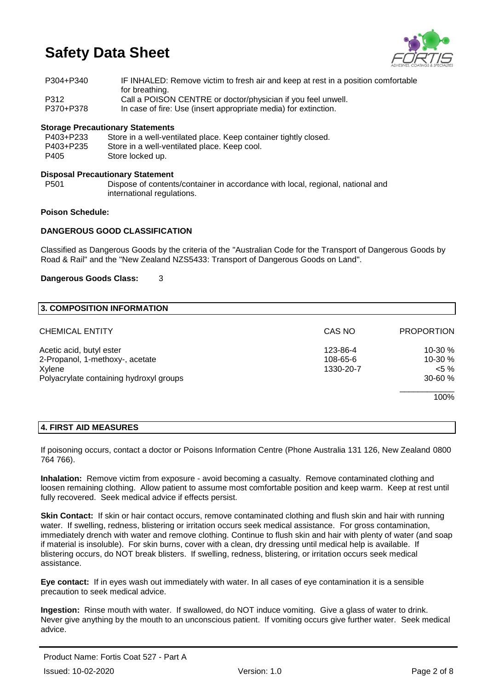

| P304+P340 | IF INHALED: Remove victim to fresh air and keep at rest in a position comfortable |
|-----------|-----------------------------------------------------------------------------------|
|           | for breathing.                                                                    |
| P312      | Call a POISON CENTRE or doctor/physician if you feel unwell.                      |
| P370+P378 | In case of fire: Use (insert appropriate media) for extinction.                   |

### **Storage Precautionary Statements**

| P403+P233 | Store in a well-ventilated place. Keep container tightly closed. |
|-----------|------------------------------------------------------------------|
| P403+P235 | Store in a well-ventilated place. Keep cool.                     |
| P405      | Store locked up.                                                 |

#### **Disposal Precautionary Statement**

P501 Dispose of contents/container in accordance with local, regional, national and international regulations.

## **Poison Schedule:**

### **DANGEROUS GOOD CLASSIFICATION**

Classified as Dangerous Goods by the criteria of the "Australian Code for the Transport of Dangerous Goods by Road & Rail" and the "New Zealand NZS5433: Transport of Dangerous Goods on Land".

#### **Dangerous Goods Class:** 3

| CAS NO    | <b>PROPORTION</b> |
|-----------|-------------------|
| 123-86-4  | 10-30 %           |
| 108-65-6  | 10-30 %           |
| 1330-20-7 | $< 5 \%$          |
|           | $30 - 60%$        |
|           | 100%              |
|           |                   |

## **4. FIRST AID MEASURES**

If poisoning occurs, contact a doctor or Poisons Information Centre (Phone Australia 131 126, New Zealand 0800 764 766).

**Inhalation:** Remove victim from exposure - avoid becoming a casualty. Remove contaminated clothing and loosen remaining clothing. Allow patient to assume most comfortable position and keep warm. Keep at rest until fully recovered. Seek medical advice if effects persist.

**Skin Contact:** If skin or hair contact occurs, remove contaminated clothing and flush skin and hair with running water. If swelling, redness, blistering or irritation occurs seek medical assistance. For gross contamination, immediately drench with water and remove clothing. Continue to flush skin and hair with plenty of water (and soap if material is insoluble). For skin burns, cover with a clean, dry dressing until medical help is available. If blistering occurs, do NOT break blisters. If swelling, redness, blistering, or irritation occurs seek medical assistance.

**Eye contact:** If in eyes wash out immediately with water. In all cases of eye contamination it is a sensible precaution to seek medical advice.

**Ingestion:** Rinse mouth with water. If swallowed, do NOT induce vomiting. Give a glass of water to drink. Never give anything by the mouth to an unconscious patient. If vomiting occurs give further water. Seek medical advice.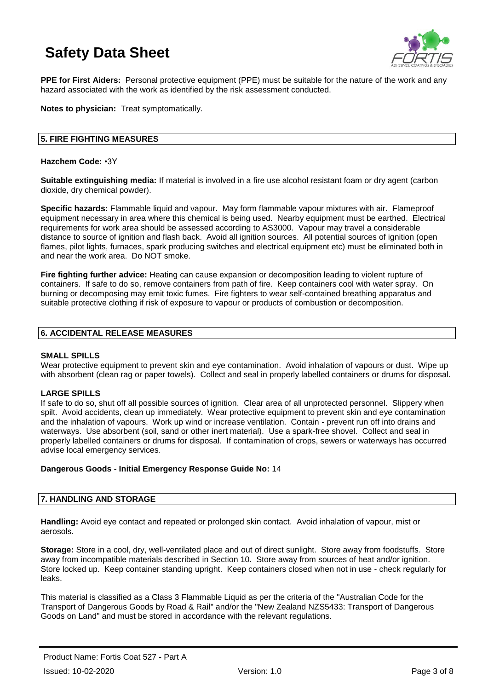

**PPE for First Aiders:** Personal protective equipment (PPE) must be suitable for the nature of the work and any hazard associated with the work as identified by the risk assessment conducted.

**Notes to physician:** Treat symptomatically.

### **5. FIRE FIGHTING MEASURES**

#### **Hazchem Code:** •3Y

**Suitable extinguishing media:** If material is involved in a fire use alcohol resistant foam or dry agent (carbon dioxide, dry chemical powder).

**Specific hazards:** Flammable liquid and vapour. May form flammable vapour mixtures with air. Flameproof equipment necessary in area where this chemical is being used. Nearby equipment must be earthed. Electrical requirements for work area should be assessed according to AS3000. Vapour may travel a considerable distance to source of ignition and flash back. Avoid all ignition sources. All potential sources of ignition (open flames, pilot lights, furnaces, spark producing switches and electrical equipment etc) must be eliminated both in and near the work area. Do NOT smoke.

**Fire fighting further advice:** Heating can cause expansion or decomposition leading to violent rupture of containers. If safe to do so, remove containers from path of fire. Keep containers cool with water spray. On burning or decomposing may emit toxic fumes. Fire fighters to wear self-contained breathing apparatus and suitable protective clothing if risk of exposure to vapour or products of combustion or decomposition.

### **6. ACCIDENTAL RELEASE MEASURES**

#### **SMALL SPILLS**

Wear protective equipment to prevent skin and eye contamination. Avoid inhalation of vapours or dust. Wipe up with absorbent (clean rag or paper towels). Collect and seal in properly labelled containers or drums for disposal.

## **LARGE SPILLS**

If safe to do so, shut off all possible sources of ignition. Clear area of all unprotected personnel. Slippery when spilt. Avoid accidents, clean up immediately. Wear protective equipment to prevent skin and eye contamination and the inhalation of vapours. Work up wind or increase ventilation. Contain - prevent run off into drains and waterways. Use absorbent (soil, sand or other inert material). Use a spark-free shovel. Collect and seal in properly labelled containers or drums for disposal. If contamination of crops, sewers or waterways has occurred advise local emergency services.

#### **Dangerous Goods - Initial Emergency Response Guide No:** 14

#### **7. HANDLING AND STORAGE**

**Handling:** Avoid eye contact and repeated or prolonged skin contact. Avoid inhalation of vapour, mist or aerosols.

**Storage:** Store in a cool, dry, well-ventilated place and out of direct sunlight. Store away from foodstuffs. Store away from incompatible materials described in Section 10. Store away from sources of heat and/or ignition. Store locked up. Keep container standing upright. Keep containers closed when not in use - check regularly for leaks.

This material is classified as a Class 3 Flammable Liquid as per the criteria of the "Australian Code for the Transport of Dangerous Goods by Road & Rail" and/or the "New Zealand NZS5433: Transport of Dangerous Goods on Land" and must be stored in accordance with the relevant regulations.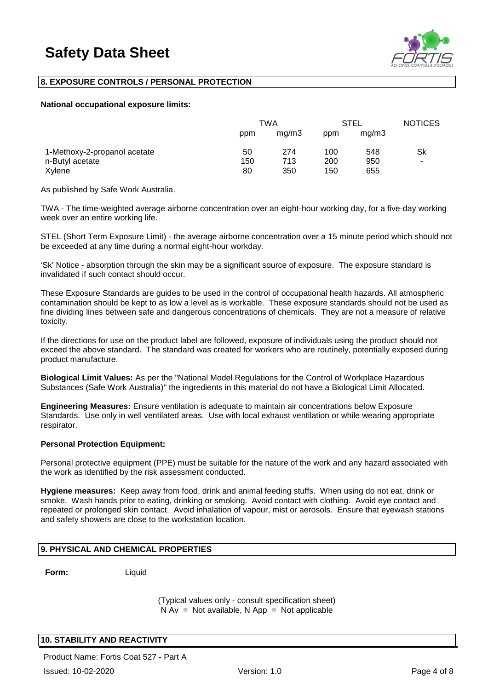

## **8. EXPOSURE CONTROLS / PERSONAL PROTECTION**

#### **National occupational exposure limits:**

|                              | TWA |       | <b>STEL</b> |       | <b>NOTICES</b> |
|------------------------------|-----|-------|-------------|-------|----------------|
|                              | ppm | mq/m3 | ppm         | mg/m3 |                |
| 1-Methoxy-2-propanol acetate | 50  | 274   | 100         | 548   | Sk             |
| n-Butyl acetate              | 150 | 713   | 200         | 950   | ۰              |
| Xylene                       | 80  | 350   | 150         | 655   |                |

As published by Safe Work Australia.

TWA - The time-weighted average airborne concentration over an eight-hour working day, for a five-day working week over an entire working life.

STEL (Short Term Exposure Limit) - the average airborne concentration over a 15 minute period which should not be exceeded at any time during a normal eight-hour workday.

'Sk' Notice - absorption through the skin may be a significant source of exposure. The exposure standard is invalidated if such contact should occur.

These Exposure Standards are guides to be used in the control of occupational health hazards. All atmospheric contamination should be kept to as low a level as is workable. These exposure standards should not be used as fine dividing lines between safe and dangerous concentrations of chemicals. They are not a measure of relative toxicity.

If the directions for use on the product label are followed, exposure of individuals using the product should not exceed the above standard. The standard was created for workers who are routinely, potentially exposed during product manufacture.

**Biological Limit Values:** As per the "National Model Regulations for the Control of Workplace Hazardous Substances (Safe Work Australia)" the ingredients in this material do not have a Biological Limit Allocated.

**Engineering Measures:** Ensure ventilation is adequate to maintain air concentrations below Exposure Standards. Use only in well ventilated areas. Use with local exhaust ventilation or while wearing appropriate respirator.

#### **Personal Protection Equipment:**

Personal protective equipment (PPE) must be suitable for the nature of the work and any hazard associated with the work as identified by the risk assessment conducted.

**Hygiene measures:** Keep away from food, drink and animal feeding stuffs. When using do not eat, drink or smoke. Wash hands prior to eating, drinking or smoking. Avoid contact with clothing. Avoid eye contact and repeated or prolonged skin contact. Avoid inhalation of vapour, mist or aerosols. Ensure that eyewash stations and safety showers are close to the workstation location.

## **9. PHYSICAL AND CHEMICAL PROPERTIES**

**Form:** Liquid

(Typical values only - consult specification sheet)  $N Av = Not available$ . N App = Not applicable

## **10. STABILITY AND REACTIVITY**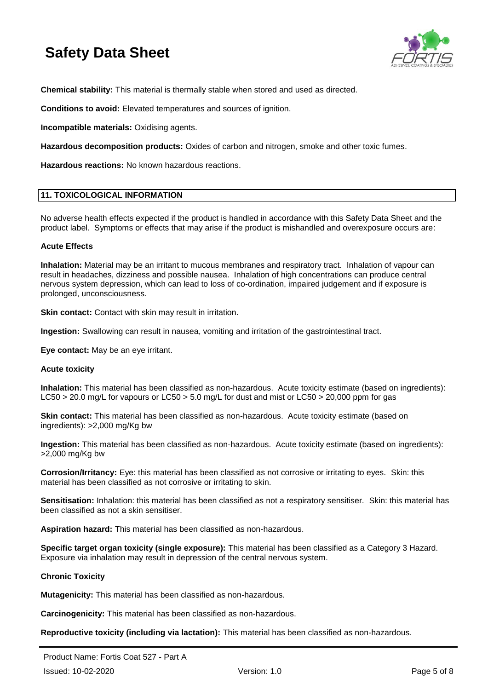

**Chemical stability:** This material is thermally stable when stored and used as directed.

**Conditions to avoid:** Elevated temperatures and sources of ignition.

**Incompatible materials:** Oxidising agents.

**Hazardous decomposition products:** Oxides of carbon and nitrogen, smoke and other toxic fumes.

**Hazardous reactions:** No known hazardous reactions.

#### **11. TOXICOLOGICAL INFORMATION**

No adverse health effects expected if the product is handled in accordance with this Safety Data Sheet and the product label. Symptoms or effects that may arise if the product is mishandled and overexposure occurs are:

### **Acute Effects**

**Inhalation:** Material may be an irritant to mucous membranes and respiratory tract. Inhalation of vapour can result in headaches, dizziness and possible nausea. Inhalation of high concentrations can produce central nervous system depression, which can lead to loss of co-ordination, impaired judgement and if exposure is prolonged, unconsciousness.

**Skin contact:** Contact with skin may result in irritation.

**Ingestion:** Swallowing can result in nausea, vomiting and irritation of the gastrointestinal tract.

**Eye contact:** May be an eye irritant.

#### **Acute toxicity**

**Inhalation:** This material has been classified as non-hazardous. Acute toxicity estimate (based on ingredients): LC50 > 20.0 mg/L for vapours or LC50 > 5.0 mg/L for dust and mist or LC50 > 20,000 ppm for gas

**Skin contact:** This material has been classified as non-hazardous. Acute toxicity estimate (based on ingredients): >2,000 mg/Kg bw

**Ingestion:** This material has been classified as non-hazardous. Acute toxicity estimate (based on ingredients): >2,000 mg/Kg bw

**Corrosion/Irritancy:** Eye: this material has been classified as not corrosive or irritating to eyes. Skin: this material has been classified as not corrosive or irritating to skin.

**Sensitisation:** Inhalation: this material has been classified as not a respiratory sensitiser. Skin: this material has been classified as not a skin sensitiser.

**Aspiration hazard:** This material has been classified as non-hazardous.

**Specific target organ toxicity (single exposure):** This material has been classified as a Category 3 Hazard. Exposure via inhalation may result in depression of the central nervous system.

## **Chronic Toxicity**

**Mutagenicity:** This material has been classified as non-hazardous.

**Carcinogenicity:** This material has been classified as non-hazardous.

**Reproductive toxicity (including via lactation):** This material has been classified as non-hazardous.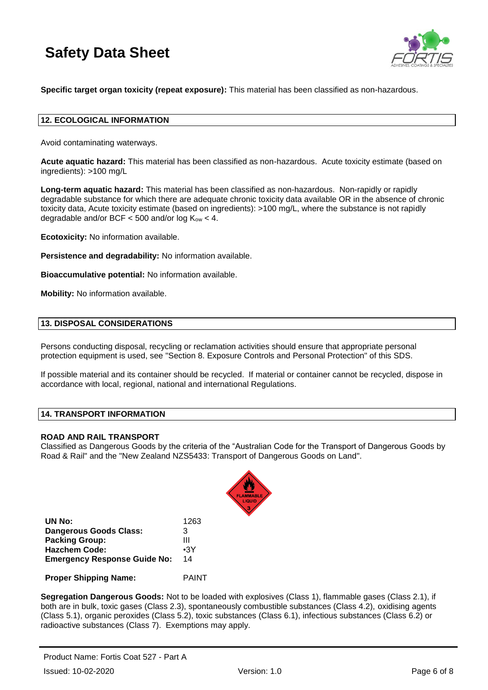

**Specific target organ toxicity (repeat exposure):** This material has been classified as non-hazardous.

#### **12. ECOLOGICAL INFORMATION**

Avoid contaminating waterways.

**Acute aquatic hazard:** This material has been classified as non-hazardous. Acute toxicity estimate (based on ingredients): >100 mg/L

**Long-term aquatic hazard:** This material has been classified as non-hazardous. Non-rapidly or rapidly degradable substance for which there are adequate chronic toxicity data available OR in the absence of chronic toxicity data, Acute toxicity estimate (based on ingredients): >100 mg/L, where the substance is not rapidly degradable and/or BCF  $<$  500 and/or log  $K_{ow}$   $<$  4.

**Ecotoxicity:** No information available.

**Persistence and degradability:** No information available.

**Bioaccumulative potential:** No information available.

**Mobility:** No information available.

#### **13. DISPOSAL CONSIDERATIONS**

Persons conducting disposal, recycling or reclamation activities should ensure that appropriate personal protection equipment is used, see "Section 8. Exposure Controls and Personal Protection" of this SDS.

If possible material and its container should be recycled. If material or container cannot be recycled, dispose in accordance with local, regional, national and international Regulations.

## **14. TRANSPORT INFORMATION**

#### **ROAD AND RAIL TRANSPORT**

Classified as Dangerous Goods by the criteria of the "Australian Code for the Transport of Dangerous Goods by Road & Rail" and the "New Zealand NZS5433: Transport of Dangerous Goods on Land".



| UN No:                              | 1263         |
|-------------------------------------|--------------|
| <b>Dangerous Goods Class:</b>       | 3            |
| <b>Packing Group:</b>               | Ш            |
| <b>Hazchem Code:</b>                | $\cdot$ 3Y   |
| <b>Emergency Response Guide No:</b> | 14           |
| <b>Proper Shipping Name:</b>        | <b>PAINT</b> |

**Segregation Dangerous Goods:** Not to be loaded with explosives (Class 1), flammable gases (Class 2.1), if both are in bulk, toxic gases (Class 2.3), spontaneously combustible substances (Class 4.2), oxidising agents (Class 5.1), organic peroxides (Class 5.2), toxic substances (Class 6.1), infectious substances (Class 6.2) or radioactive substances (Class 7). Exemptions may apply.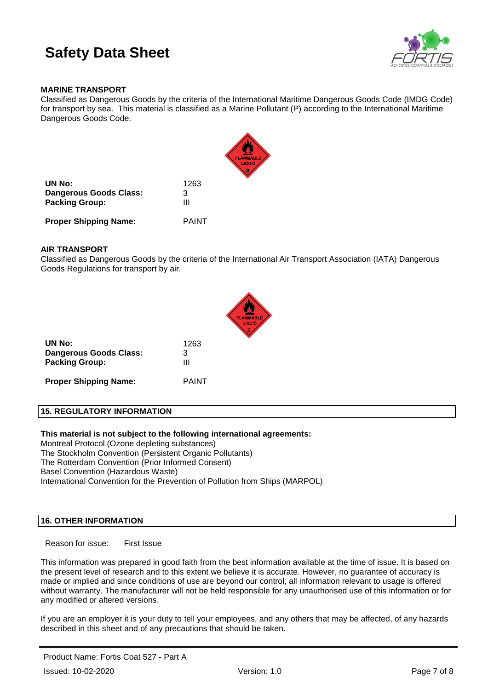

### **MARINE TRANSPORT**

Classified as Dangerous Goods by the criteria of the International Maritime Dangerous Goods Code (IMDG Code) for transport by sea. This material is classified as a Marine Pollutant (P) according to the International Maritime Dangerous Goods Code.



#### **AIR TRANSPORT**

Classified as Dangerous Goods by the criteria of the International Air Transport Association (IATA) Dangerous Goods Regulations for transport by air.



| UN No:                       | 1263         |
|------------------------------|--------------|
| Dangerous Goods Class:       | 3            |
| <b>Packing Group:</b>        | Ш            |
| <b>Proper Shipping Name:</b> | <b>PAINT</b> |

## **15. REGULATORY INFORMATION**

**This material is not subject to the following international agreements:** Montreal Protocol (Ozone depleting substances) The Stockholm Convention (Persistent Organic Pollutants) The Rotterdam Convention (Prior Informed Consent)

Basel Convention (Hazardous Waste)

International Convention for the Prevention of Pollution from Ships (MARPOL)

### **16. OTHER INFORMATION**

Reason for issue: First Issue

This information was prepared in good faith from the best information available at the time of issue. It is based on the present level of research and to this extent we believe it is accurate. However, no guarantee of accuracy is made or implied and since conditions of use are beyond our control, all information relevant to usage is offered without warranty. The manufacturer will not be held responsible for any unauthorised use of this information or for any modified or altered versions.

If you are an employer it is your duty to tell your employees, and any others that may be affected, of any hazards described in this sheet and of any precautions that should be taken.